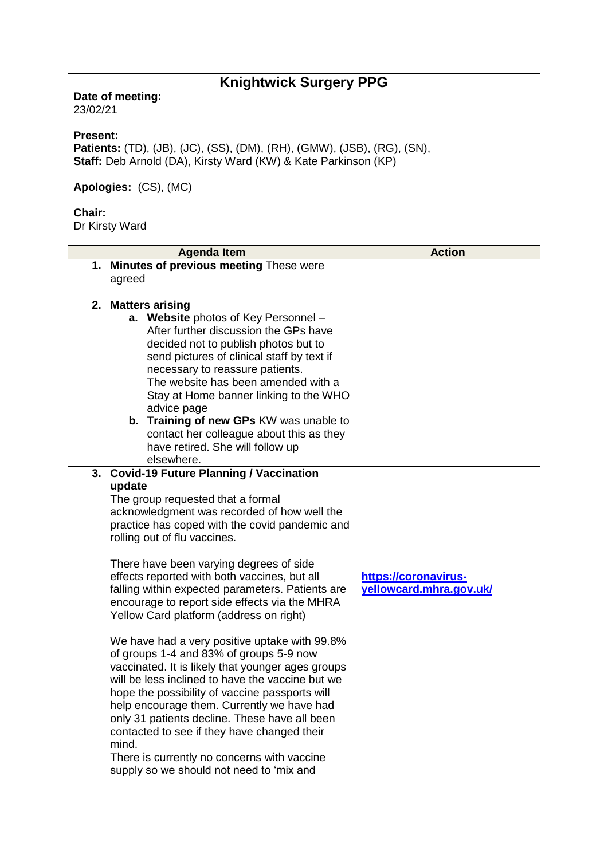## **Knightwick Surgery PPG**

**Date of meeting:**  23/02/21

**Present:** 

**Patients:** (TD), (JB), (JC), (SS), (DM), (RH), (GMW), (JSB), (RG), (SN), **Staff:** Deb Arnold (DA), Kirsty Ward (KW) & Kate Parkinson (KP)

**Apologies:** (CS), (MC)

## **Chair:**

Dr Kirsty Ward

|    | <b>Agenda Item</b>                                                                                    | <b>Action</b>                                   |
|----|-------------------------------------------------------------------------------------------------------|-------------------------------------------------|
|    | 1. Minutes of previous meeting These were                                                             |                                                 |
|    | agreed                                                                                                |                                                 |
|    | 2. Matters arising                                                                                    |                                                 |
|    | a. Website photos of Key Personnel -                                                                  |                                                 |
|    | After further discussion the GPs have                                                                 |                                                 |
|    | decided not to publish photos but to                                                                  |                                                 |
|    | send pictures of clinical staff by text if                                                            |                                                 |
|    | necessary to reassure patients.<br>The website has been amended with a                                |                                                 |
|    | Stay at Home banner linking to the WHO                                                                |                                                 |
|    | advice page                                                                                           |                                                 |
|    | b. Training of new GPs KW was unable to                                                               |                                                 |
|    | contact her colleague about this as they                                                              |                                                 |
|    | have retired. She will follow up                                                                      |                                                 |
|    | elsewhere.                                                                                            |                                                 |
| 3. | <b>Covid-19 Future Planning / Vaccination</b>                                                         |                                                 |
|    | update<br>The group requested that a formal                                                           |                                                 |
|    | acknowledgment was recorded of how well the                                                           |                                                 |
|    | practice has coped with the covid pandemic and                                                        |                                                 |
|    | rolling out of flu vaccines.                                                                          |                                                 |
|    |                                                                                                       |                                                 |
|    | There have been varying degrees of side                                                               |                                                 |
|    | effects reported with both vaccines, but all<br>falling within expected parameters. Patients are      | https://coronavirus-<br>yellowcard.mhra.gov.uk/ |
|    | encourage to report side effects via the MHRA                                                         |                                                 |
|    | Yellow Card platform (address on right)                                                               |                                                 |
|    |                                                                                                       |                                                 |
|    | We have had a very positive uptake with 99.8%                                                         |                                                 |
|    | of groups 1-4 and 83% of groups 5-9 now                                                               |                                                 |
|    | vaccinated. It is likely that younger ages groups<br>will be less inclined to have the vaccine but we |                                                 |
|    | hope the possibility of vaccine passports will                                                        |                                                 |
|    | help encourage them. Currently we have had                                                            |                                                 |
|    | only 31 patients decline. These have all been                                                         |                                                 |
|    | contacted to see if they have changed their                                                           |                                                 |
|    | mind.                                                                                                 |                                                 |
|    | There is currently no concerns with vaccine                                                           |                                                 |
|    | supply so we should not need to 'mix and                                                              |                                                 |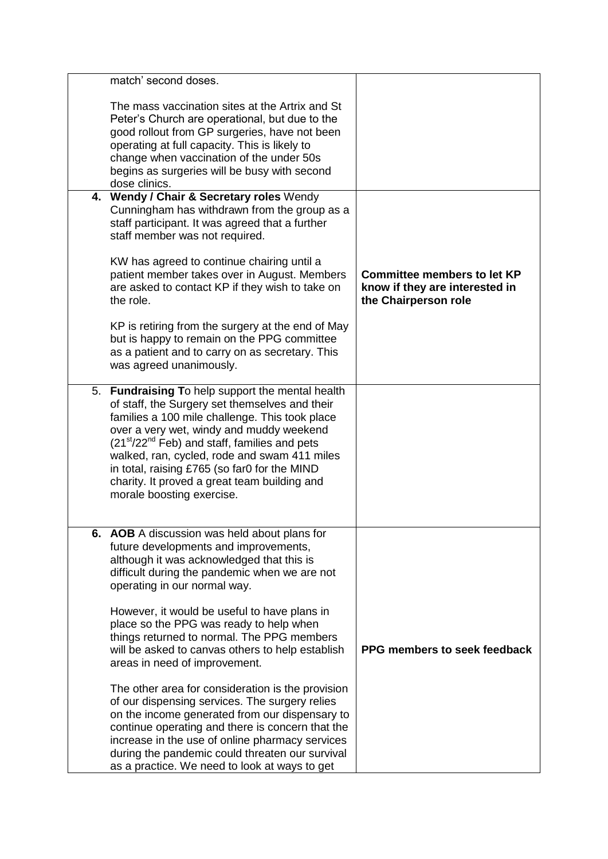| match' second doses.                                                                                                                                                                                                                                                                                                                                                                                                            |                                                                                              |
|---------------------------------------------------------------------------------------------------------------------------------------------------------------------------------------------------------------------------------------------------------------------------------------------------------------------------------------------------------------------------------------------------------------------------------|----------------------------------------------------------------------------------------------|
| The mass vaccination sites at the Artrix and St<br>Peter's Church are operational, but due to the<br>good rollout from GP surgeries, have not been<br>operating at full capacity. This is likely to<br>change when vaccination of the under 50s<br>begins as surgeries will be busy with second<br>dose clinics.                                                                                                                |                                                                                              |
| 4. Wendy / Chair & Secretary roles Wendy<br>Cunningham has withdrawn from the group as a<br>staff participant. It was agreed that a further<br>staff member was not required.                                                                                                                                                                                                                                                   |                                                                                              |
| KW has agreed to continue chairing until a<br>patient member takes over in August. Members<br>are asked to contact KP if they wish to take on<br>the role.                                                                                                                                                                                                                                                                      | <b>Committee members to let KP</b><br>know if they are interested in<br>the Chairperson role |
| KP is retiring from the surgery at the end of May<br>but is happy to remain on the PPG committee<br>as a patient and to carry on as secretary. This<br>was agreed unanimously.                                                                                                                                                                                                                                                  |                                                                                              |
| 5. Fundraising To help support the mental health<br>of staff, the Surgery set themselves and their<br>families a 100 mile challenge. This took place<br>over a very wet, windy and muddy weekend<br>$(21st/22nd Feb)$ and staff, families and pets<br>walked, ran, cycled, rode and swam 411 miles<br>in total, raising £765 (so far0 for the MIND<br>charity. It proved a great team building and<br>morale boosting exercise. |                                                                                              |
| 6. AOB A discussion was held about plans for<br>future developments and improvements,<br>although it was acknowledged that this is<br>difficult during the pandemic when we are not<br>operating in our normal way.                                                                                                                                                                                                             |                                                                                              |
| However, it would be useful to have plans in<br>place so the PPG was ready to help when<br>things returned to normal. The PPG members<br>will be asked to canvas others to help establish<br>areas in need of improvement.                                                                                                                                                                                                      | PPG members to seek feedback                                                                 |
| The other area for consideration is the provision<br>of our dispensing services. The surgery relies<br>on the income generated from our dispensary to<br>continue operating and there is concern that the<br>increase in the use of online pharmacy services<br>during the pandemic could threaten our survival<br>as a practice. We need to look at ways to get                                                                |                                                                                              |